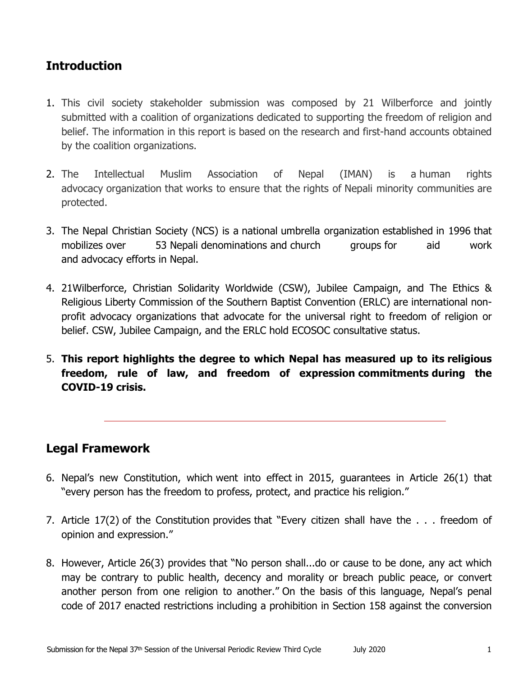# **Introduction**

- 1. This civil society stakeholder submission was composed by 21 Wilberforce and jointly submitted with <sup>a</sup> coalition of organizations dedicated to supporting the freedom of religion and belief. The information in this report is based on the research and first-hand accounts obtained by the coalition organizations.
- 2. The Intellectual Muslim Association of Nepal (IMAN) is <sup>a</sup> human rights advocacy organization that works to ensure that the rights of Nepali minority communities are protected.
- 3. The Nepal Christian Society (NCS) is <sup>a</sup> national umbrella organization established in 1996 that mobilizes over 53 Nepali denominations and church groups for aid work and advocacy efforts in Nepal.
- 4. 21Wilberforce, Christian Solidarity Worldwide (CSW), Jubilee Campaign, and The Ethics & Religious Liberty Commission of the Southern Baptist Convention (ERLC) are international nonprofit advocacy organizations that advocate for the universal right to freedom of religion or belief. CSW, Jubilee Campaign, and the ERLC hold ECOSOC consultative status.
- 5. **This report highlights the degree to which Nepal has measured up to its religious freedom, rule of law, and freedom of expression commitments during the COVID-19 crisis.**

## **Legal Framework**

- 6. Nepal'<sup>s</sup> new Constitution, which went into effect in 2015, guarantees in Article 26(1) that "every person has the freedom to profess, protect, and practice his religion."
- 7. Article 17(2) of the Constitution provides that "Every citizen shall have the . . . freedom of opinion and expression."
- 8. However, Article 26(3) provides that "No person shall...do or cause to be done, any act which may be contrary to public health, decency and morality or breach public peace, or convert another person from one religion to another." On the basis of this language, Nepal'<sup>s</sup> penal code of 2017 enacted restrictions including <sup>a</sup> prohibition in Section 158 against the conversion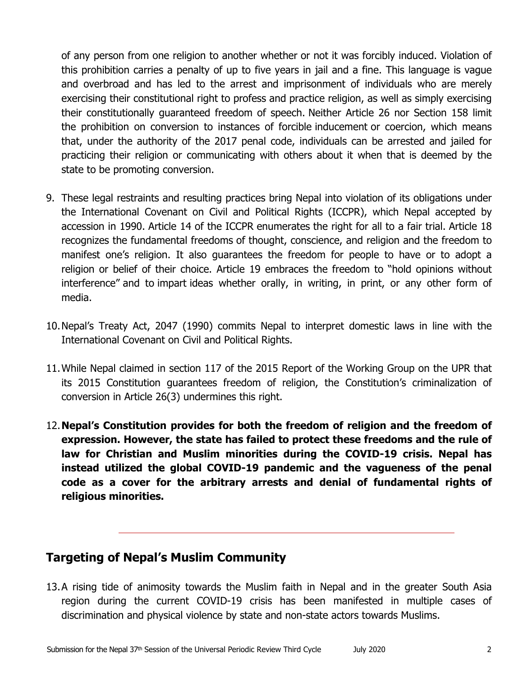of any person from one religion to another whether or not it was forcibly induced. Violation of this prohibition carries <sup>a</sup> penalty of up to five years in jail and <sup>a</sup> fine. This language is vague and overbroad and has led to the arrest and imprisonment of individuals who are merely exercising their constitutional right to profess and practice religion, as well as simply exercising their constitutionally guaranteed freedom of speech. Neither Article 26 nor Section 158 limit the prohibition on conversion to instances of forcible inducement or coercion, which means that, under the authority of the 2017 penal code, individuals can be arrested and jailed for practicing their religion or communicating with others about it when that is deemed by the state to be promoting conversion.

- 9. These legal restraints and resulting practices bring Nepal into violation of its obligations under the International Covenant on Civil and Political Rights (ICCPR), which Nepal accepted by accession in 1990. Article 14 of the ICCPR enumerates the right for all to <sup>a</sup> fair trial. Article 18 recognizes the fundamental freedoms of thought, conscience, and religion and the freedom to manifest one'<sup>s</sup> religion. It also guarantees the freedom for people to have or to adopt <sup>a</sup> religion or belief of their choice. Article 19 embraces the freedom to "hold opinions without interference" and to impart ideas whether orally, in writing, in print, or any other form of media.
- 10.Nepal'<sup>s</sup> Treaty Act, 2047 (1990) commits Nepal to interpret domestic laws in line with the International Covenant on Civil and Political Rights.
- 11.While Nepal claimed in section 117 of the 2015 Report of the Working Group on the UPR that its 2015 Constitution guarantees freedom of religion, the Constitution'<sup>s</sup> criminalization of conversion in Article 26(3) undermines this right.
- 12.**Nepal'<sup>s</sup> Constitution provides for both the freedom of religion and the freedom of expression. However, the state has failed to protect these freedoms and the rule of law for Christian and Muslim minorities during the COVID-19 crisis. Nepal has instead utilized the global COVID-19 pandemic and the vagueness of the penal code as <sup>a</sup> cover for the arbitrary arrests and denial of fundamental rights of religious minorities.**

## **Targeting of Nepal'<sup>s</sup> Muslim Community**

13.A rising tide of animosity towards the Muslim faith in Nepal and in the greater South Asia region during the current COVID-19 crisis has been manifested in multiple cases of discrimination and physical violence by state and non-state actors towards Muslims.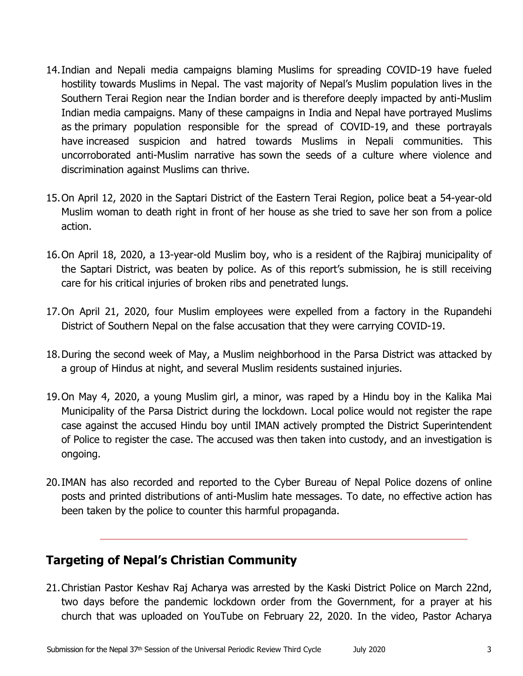- 14.Indian and Nepali media campaigns blaming Muslims for spreading COVID-19 have fueled hostility towards Muslims in Nepal. The vast majority of Nepal'<sup>s</sup> Muslim population lives in the Southern Terai Region near the Indian border and is therefore deeply impacted by anti-Muslim Indian media campaigns. Many of these campaigns in India and Nepal have portrayed Muslims as the primary population responsible for the spread of COVID-19, and these portrayals have increased suspicion and hatred towards Muslims in Nepali communities. This uncorroborated anti-Muslim narrative has sown the seeds of a culture where violence and discrimination against Muslims can thrive.
- 15.On April 12, 2020 in the Saptari District of the Eastern Terai Region, police beat <sup>a</sup> 54-year-old Muslim woman to death right in front of her house as she tried to save her son from <sup>a</sup> police action.
- 16.On April 18, 2020, <sup>a</sup> 13-year-old Muslim boy, who is <sup>a</sup> resident of the Rajbiraj municipality of the Saptari District, was beaten by police. As of this report'<sup>s</sup> submission, he is still receiving care for his critical injuries of broken ribs and penetrated lungs.
- 17.On April 21, 2020, four Muslim employees were expelled from <sup>a</sup> factory in the Rupandehi District of Southern Nepal on the false accusation that they were carrying COVID-19.
- 18.During the second week of May, <sup>a</sup> Muslim neighborhood in the Parsa District was attacked by <sup>a</sup> group of Hindus at night, and several Muslim residents sustained injuries.
- 19.On May 4, 2020, <sup>a</sup> young Muslim girl, <sup>a</sup> minor, was raped by <sup>a</sup> Hindu boy in the Kalika Mai Municipality of the Parsa District during the lockdown. Local police would not register the rape case against the accused Hindu boy until IMAN actively prompted the District Superintendent of Police to register the case. The accused was then taken into custody, and an investigation is ongoing.
- 20.IMAN has also recorded and reported to the Cyber Bureau of Nepal Police dozens of online posts and printed distributions of anti-Muslim hate messages. To date, no effective action has been taken by the police to counter this harmful propaganda.

## **Targeting of Nepal'<sup>s</sup> Christian Community**

21.Christian Pastor Keshav Raj Acharya was arrested by the Kaski District Police on March 22nd, two days before the pandemic lockdown order from the Government, for <sup>a</sup> prayer at his church that was uploaded on YouTube on February 22, 2020. In the video, Pastor Acharya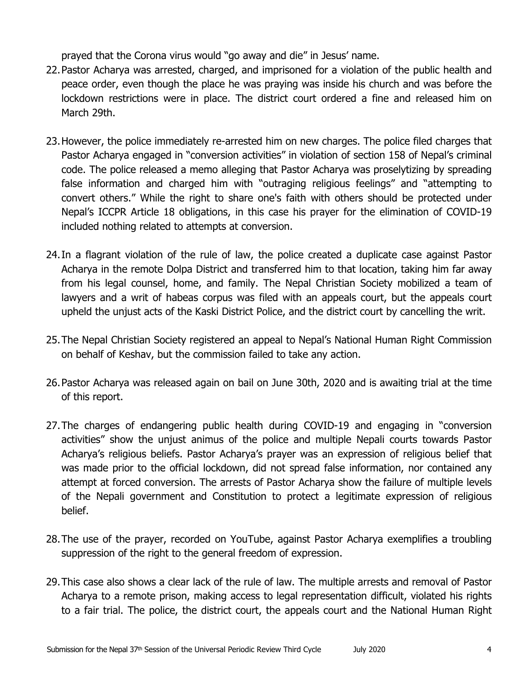prayed that the Corona virus would "go away and die" in Jesus' name.

- 22.Pastor Acharya was arrested, charged, and imprisoned for <sup>a</sup> violation of the public health and peace order, even though the place he was praying was inside his church and was before the lockdown restrictions were in place. The district court ordered <sup>a</sup> fine and released him on March 29th.
- 23.However, the police immediately re-arrested him on new charges. The police filed charges that Pastor Acharya engaged in "conversion activities" in violation of section 158 of Nepal'<sup>s</sup> criminal code. The police released <sup>a</sup> memo alleging that Pastor Acharya was proselytizing by spreading false information and charged him with "outraging religious feelings" and "attempting to convert others." While the right to share one's faith with others should be protected under Nepal'<sup>s</sup> ICCPR Article 18 obligations, in this case his prayer for the elimination of COVID-19 included nothing related to attempts at conversion.
- 24.In <sup>a</sup> flagrant violation of the rule of law, the police created <sup>a</sup> duplicate case against Pastor Acharya in the remote Dolpa District and transferred him to that location, taking him far away from his legal counsel, home, and family. The Nepal Christian Society mobilized <sup>a</sup> team of lawyers and <sup>a</sup> writ of habeas corpus was filed with an appeals court, but the appeals court upheld the unjust acts of the Kaski District Police, and the district court by cancelling the writ.
- 25.The Nepal Christian Society registered an appeal to Nepal'<sup>s</sup> National Human Right Commission on behalf of Keshav, but the commission failed to take any action.
- 26.Pastor Acharya was released again on bail on June 30th, 2020 and is awaiting trial at the time of this report.
- 27.The charges of endangering public health during COVID-19 and engaging in "conversion activities" show the unjust animus of the police and multiple Nepali courts towards Pastor Acharya'<sup>s</sup> religious beliefs. Pastor Acharya'<sup>s</sup> prayer was an expression of religious belief that was made prior to the official lockdown, did not spread false information, nor contained any attempt at forced conversion. The arrests of Pastor Acharya show the failure of multiple levels of the Nepali government and Constitution to protect <sup>a</sup> legitimate expression of religious belief.
- 28.The use of the prayer, recorded on YouTube, against Pastor Acharya exemplifies <sup>a</sup> troubling suppression of the right to the general freedom of expression.
- 29.This case also shows <sup>a</sup> clear lack of the rule of law. The multiple arrests and removal of Pastor Acharya to <sup>a</sup> remote prison, making access to legal representation difficult, violated his rights to <sup>a</sup> fair trial. The police, the district court, the appeals court and the National Human Right